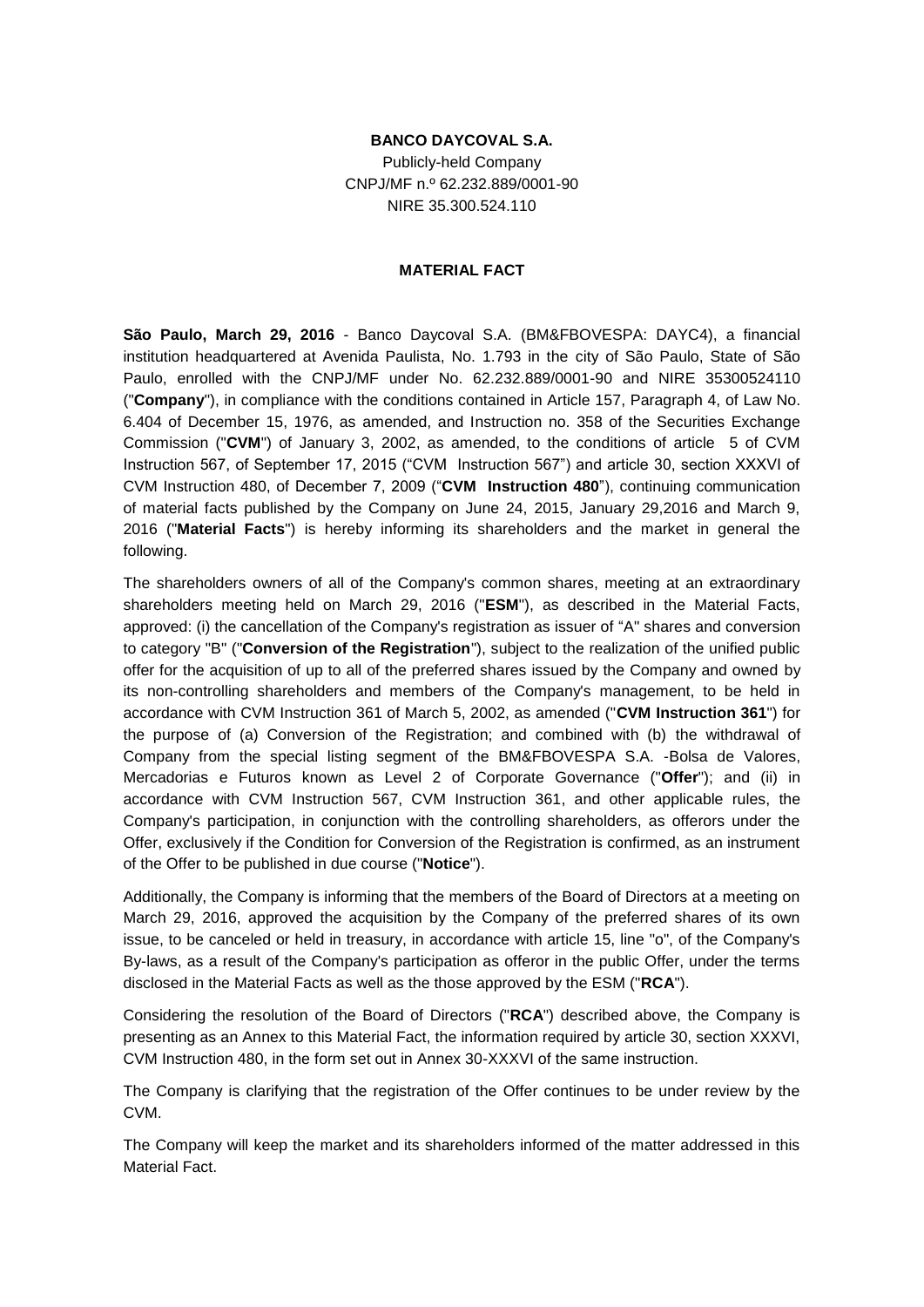#### **BANCO DAYCOVAL S.A.**

Publicly-held Company CNPJ/MF n.º 62.232.889/0001-90 NIRE 35.300.524.110

#### **MATERIAL FACT**

**São Paulo, March 29, 2016** - Banco Daycoval S.A. (BM&FBOVESPA: DAYC4), a financial institution headquartered at Avenida Paulista, No. 1.793 in the city of São Paulo, State of São Paulo, enrolled with the CNPJ/MF under No. 62.232.889/0001-90 and NIRE 35300524110 ("**Company**"), in compliance with the conditions contained in Article 157, Paragraph 4, of Law No. 6.404 of December 15, 1976, as amended, and Instruction no. 358 of the Securities Exchange Commission ("**CVM**") of January 3, 2002, as amended, to the conditions of article 5 of CVM Instruction 567, of September 17, 2015 ("CVM Instruction 567") and article 30, section XXXVI of CVM Instruction 480, of December 7, 2009 ("**CVM Instruction 480**"), continuing communication of material facts published by the Company on June 24, 2015, January 29,2016 and March 9, 2016 ("**Material Facts**") is hereby informing its shareholders and the market in general the following.

The shareholders owners of all of the Company's common shares, meeting at an extraordinary shareholders meeting held on March 29, 2016 ("**ESM**"), as described in the Material Facts, approved: (i) the cancellation of the Company's registration as issuer of "A" shares and conversion to category "B" ("**Conversion of the Registration**"), subject to the realization of the unified public offer for the acquisition of up to all of the preferred shares issued by the Company and owned by its non-controlling shareholders and members of the Company's management, to be held in accordance with CVM Instruction 361 of March 5, 2002, as amended ("**CVM Instruction 361**") for the purpose of (a) Conversion of the Registration; and combined with (b) the withdrawal of Company from the special listing segment of the BM&FBOVESPA S.A. -Bolsa de Valores, Mercadorias e Futuros known as Level 2 of Corporate Governance ("**Offer**"); and (ii) in accordance with CVM Instruction 567, CVM Instruction 361, and other applicable rules, the Company's participation, in conjunction with the controlling shareholders, as offerors under the Offer, exclusively if the Condition for Conversion of the Registration is confirmed, as an instrument of the Offer to be published in due course ("**Notice**").

Additionally, the Company is informing that the members of the Board of Directors at a meeting on March 29, 2016, approved the acquisition by the Company of the preferred shares of its own issue, to be canceled or held in treasury, in accordance with article 15, line "o", of the Company's By-laws, as a result of the Company's participation as offeror in the public Offer, under the terms disclosed in the Material Facts as well as the those approved by the ESM ("**RCA**").

Considering the resolution of the Board of Directors ("**RCA**") described above, the Company is presenting as an Annex to this Material Fact, the information required by article 30, section XXXVI, CVM Instruction 480, in the form set out in Annex 30-XXXVI of the same instruction.

The Company is clarifying that the registration of the Offer continues to be under review by the CVM.

The Company will keep the market and its shareholders informed of the matter addressed in this Material Fact.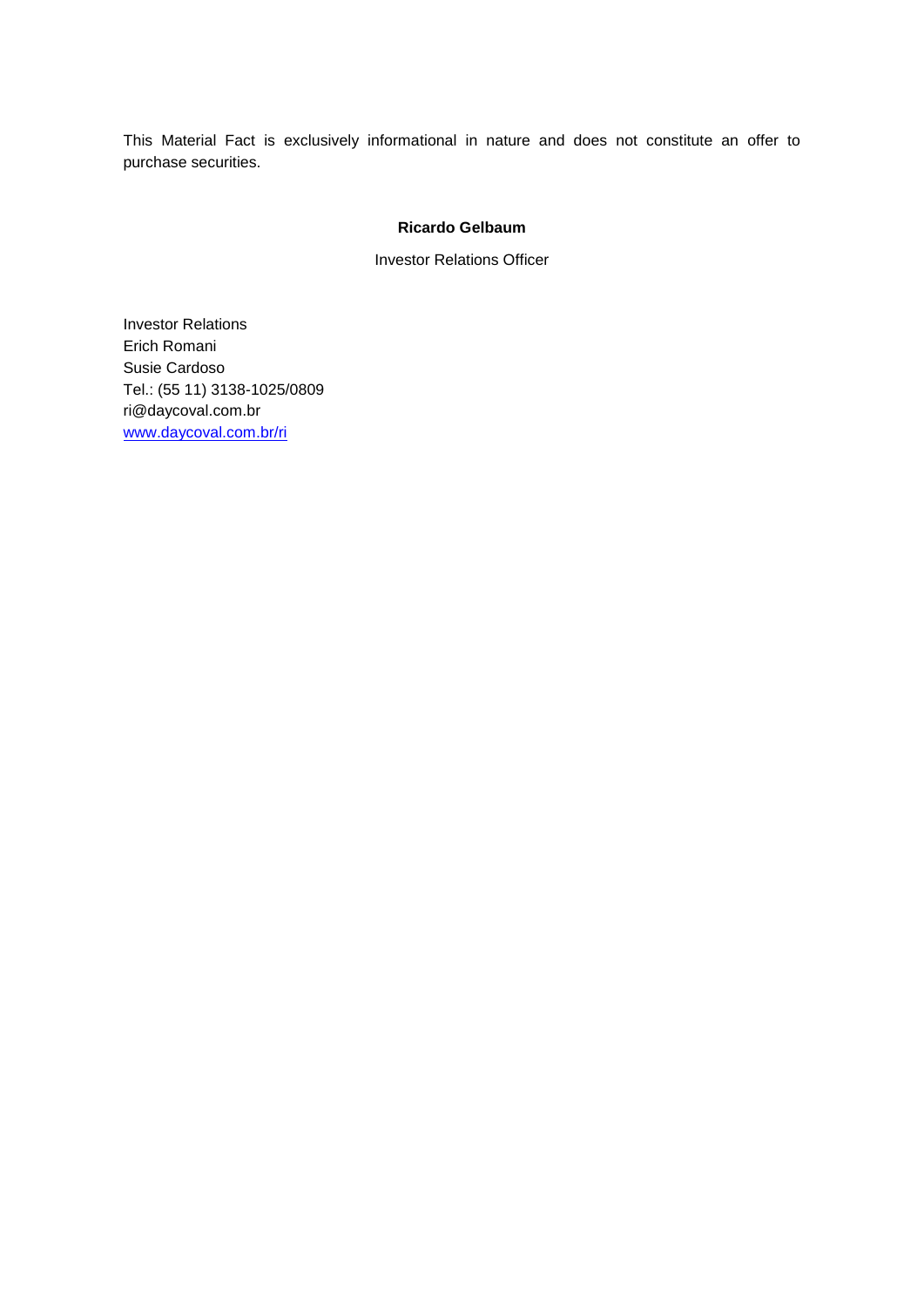This Material Fact is exclusively informational in nature and does not constitute an offer to purchase securities.

#### **Ricardo Gelbaum**

Investor Relations Officer

Investor Relations Erich Romani Susie Cardoso Tel.: (55 11) 3138-1025/0809 ri@daycoval.com.br www.daycoval.com.br/ri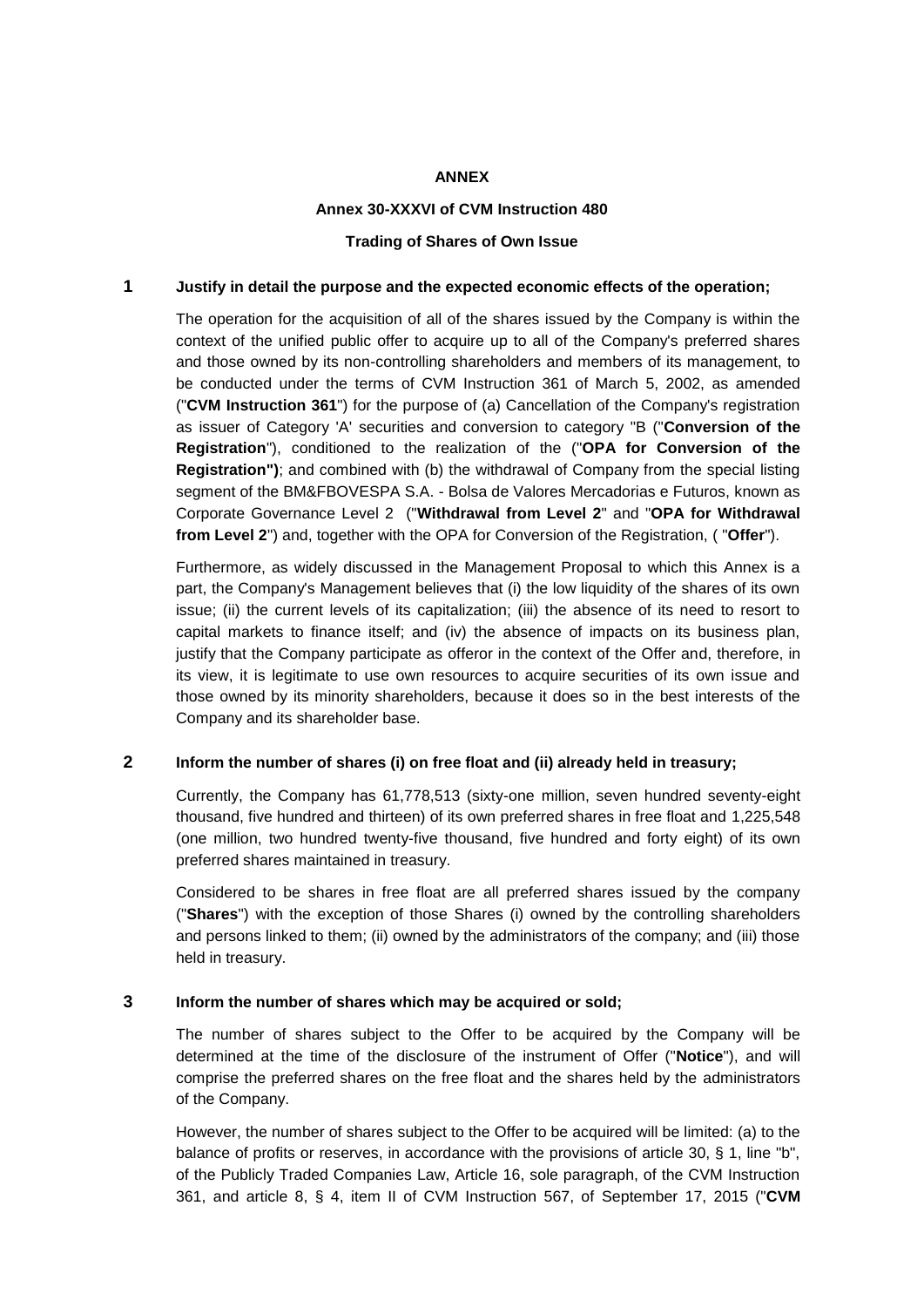## **ANNEX**

#### **Annex 30-XXXVI of CVM Instruction 480**

#### **Trading of Shares of Own Issue**

#### **1 Justify in detail the purpose and the expected economic effects of the operation;**

The operation for the acquisition of all of the shares issued by the Company is within the context of the unified public offer to acquire up to all of the Company's preferred shares and those owned by its non-controlling shareholders and members of its management, to be conducted under the terms of CVM Instruction 361 of March 5, 2002, as amended ("**CVM Instruction 361**") for the purpose of (a) Cancellation of the Company's registration as issuer of Category 'A' securities and conversion to category "B ("**Conversion of the Registration**"), conditioned to the realization of the ("**OPA for Conversion of the Registration")**; and combined with (b) the withdrawal of Company from the special listing segment of the BM&FBOVESPA S.A. - Bolsa de Valores Mercadorias e Futuros, known as Corporate Governance Level 2 ("**Withdrawal from Level 2**" and "**OPA for Withdrawal from Level 2**") and, together with the OPA for Conversion of the Registration, ( "**Offer**").

Furthermore, as widely discussed in the Management Proposal to which this Annex is a part, the Company's Management believes that (i) the low liquidity of the shares of its own issue; (ii) the current levels of its capitalization; (iii) the absence of its need to resort to capital markets to finance itself; and (iv) the absence of impacts on its business plan, justify that the Company participate as offeror in the context of the Offer and, therefore, in its view, it is legitimate to use own resources to acquire securities of its own issue and those owned by its minority shareholders, because it does so in the best interests of the Company and its shareholder base.

### **2 Inform the number of shares (i) on free float and (ii) already held in treasury;**

Currently, the Company has 61,778,513 (sixty-one million, seven hundred seventy-eight thousand, five hundred and thirteen) of its own preferred shares in free float and 1,225,548 (one million, two hundred twenty-five thousand, five hundred and forty eight) of its own preferred shares maintained in treasury.

Considered to be shares in free float are all preferred shares issued by the company ("**Shares**") with the exception of those Shares (i) owned by the controlling shareholders and persons linked to them; (ii) owned by the administrators of the company; and (iii) those held in treasury.

### **3 Inform the number of shares which may be acquired or sold;**

The number of shares subject to the Offer to be acquired by the Company will be determined at the time of the disclosure of the instrument of Offer ("**Notice**"), and will comprise the preferred shares on the free float and the shares held by the administrators of the Company.

However, the number of shares subject to the Offer to be acquired will be limited: (a) to the balance of profits or reserves, in accordance with the provisions of article 30, § 1, line "b", of the Publicly Traded Companies Law, Article 16, sole paragraph, of the CVM Instruction 361, and article 8, § 4, item II of CVM Instruction 567, of September 17, 2015 ("**CVM**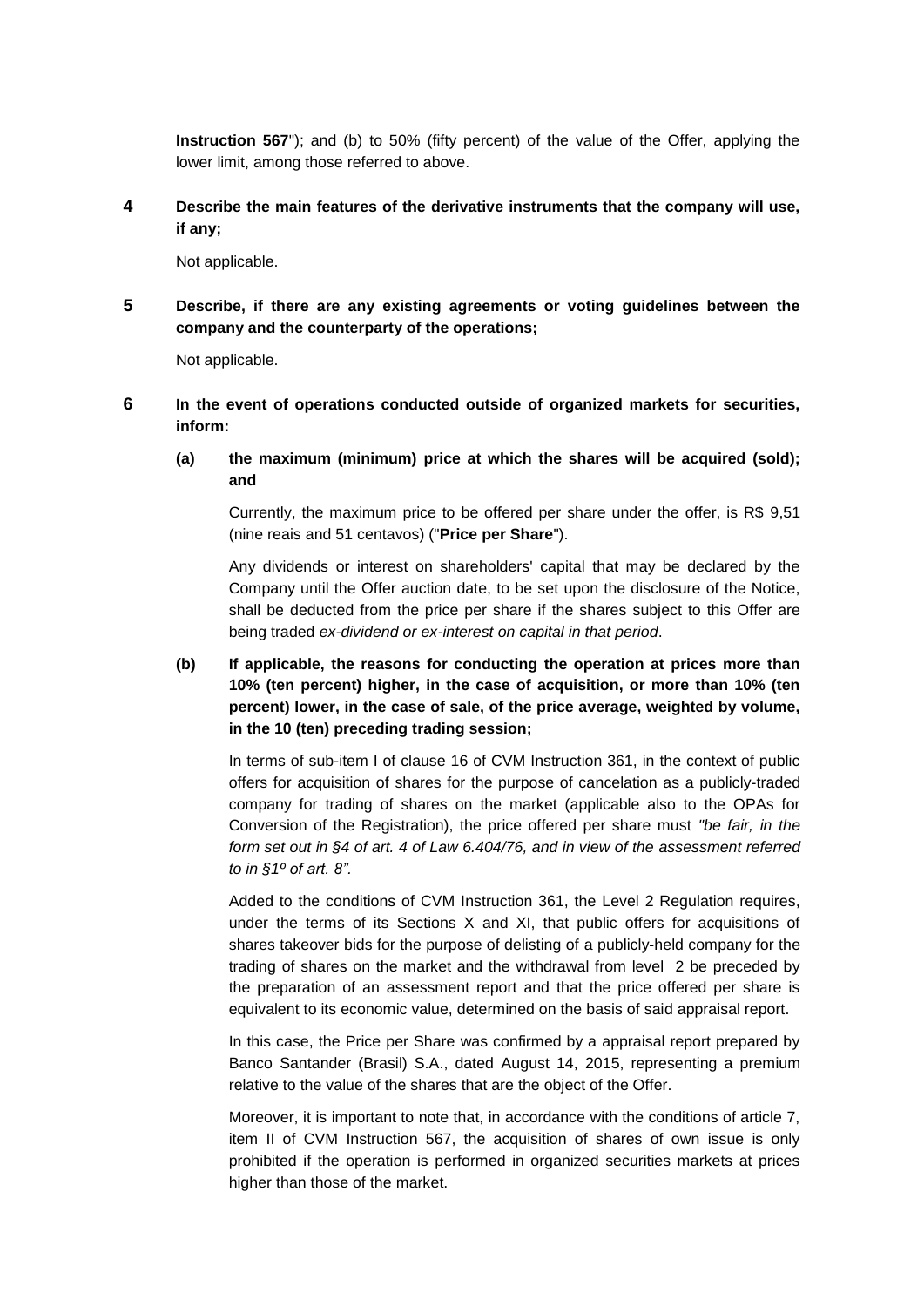**Instruction 567**"); and (b) to 50% (fifty percent) of the value of the Offer, applying the lower limit, among those referred to above.

**4 Describe the main features of the derivative instruments that the company will use, if any;** 

Not applicable.

**5 Describe, if there are any existing agreements or voting guidelines between the company and the counterparty of the operations;** 

Not applicable.

- **6 In the event of operations conducted outside of organized markets for securities, inform:** 
	- **(a) the maximum (minimum) price at which the shares will be acquired (sold); and**

Currently, the maximum price to be offered per share under the offer, is R\$ 9,51 (nine reais and 51 centavos) ("**Price per Share**").

Any dividends or interest on shareholders' capital that may be declared by the Company until the Offer auction date, to be set upon the disclosure of the Notice, shall be deducted from the price per share if the shares subject to this Offer are being traded *ex-dividend or ex-interest on capital in that period*.

**(b) If applicable, the reasons for conducting the operation at prices more than 10% (ten percent) higher, in the case of acquisition, or more than 10% (ten percent) lower, in the case of sale, of the price average, weighted by volume, in the 10 (ten) preceding trading session;** 

In terms of sub-item I of clause 16 of CVM Instruction 361, in the context of public offers for acquisition of shares for the purpose of cancelation as a publicly-traded company for trading of shares on the market (applicable also to the OPAs for Conversion of the Registration), the price offered per share must *"be fair, in the form set out in §4 of art. 4 of Law 6.404/76, and in view of the assessment referred to in §1º of art. 8".*

Added to the conditions of CVM Instruction 361, the Level 2 Regulation requires, under the terms of its Sections X and XI, that public offers for acquisitions of shares takeover bids for the purpose of delisting of a publicly-held company for the trading of shares on the market and the withdrawal from level 2 be preceded by the preparation of an assessment report and that the price offered per share is equivalent to its economic value, determined on the basis of said appraisal report.

In this case, the Price per Share was confirmed by a appraisal report prepared by Banco Santander (Brasil) S.A., dated August 14, 2015, representing a premium relative to the value of the shares that are the object of the Offer.

Moreover, it is important to note that, in accordance with the conditions of article 7, item II of CVM Instruction 567, the acquisition of shares of own issue is only prohibited if the operation is performed in organized securities markets at prices higher than those of the market.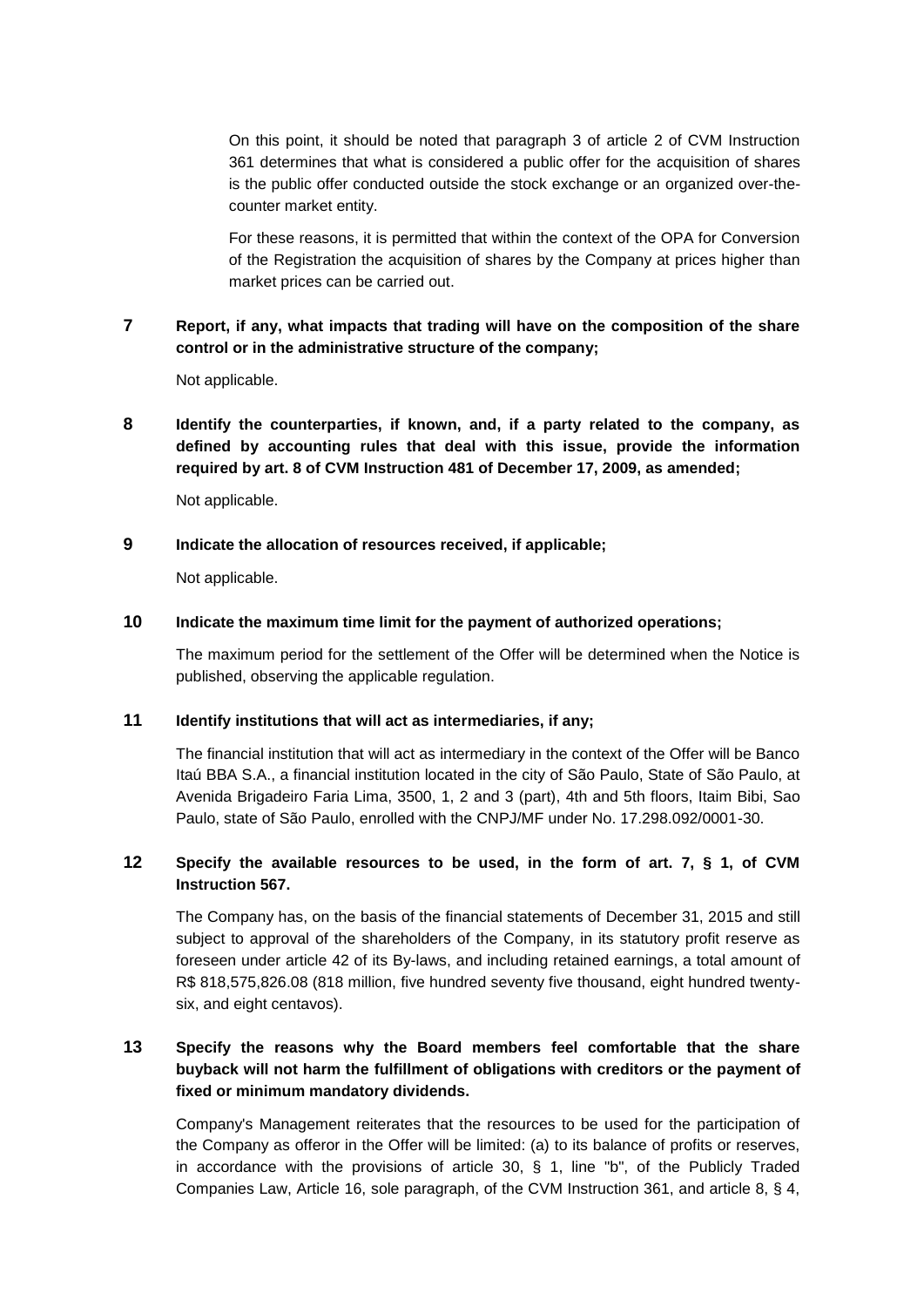On this point, it should be noted that paragraph 3 of article 2 of CVM Instruction 361 determines that what is considered a public offer for the acquisition of shares is the public offer conducted outside the stock exchange or an organized over-thecounter market entity.

For these reasons, it is permitted that within the context of the OPA for Conversion of the Registration the acquisition of shares by the Company at prices higher than market prices can be carried out.

**7 Report, if any, what impacts that trading will have on the composition of the share control or in the administrative structure of the company;** 

Not applicable.

**8 Identify the counterparties, if known, and, if a party related to the company, as defined by accounting rules that deal with this issue, provide the information required by art. 8 of CVM Instruction 481 of December 17, 2009, as amended;** 

Not applicable.

## **9 Indicate the allocation of resources received, if applicable;**

Not applicable.

# **10 Indicate the maximum time limit for the payment of authorized operations;**

The maximum period for the settlement of the Offer will be determined when the Notice is published, observing the applicable regulation.

#### **11 Identify institutions that will act as intermediaries, if any;**

The financial institution that will act as intermediary in the context of the Offer will be Banco Itaú BBA S.A., a financial institution located in the city of São Paulo, State of São Paulo, at Avenida Brigadeiro Faria Lima, 3500, 1, 2 and 3 (part), 4th and 5th floors, Itaim Bibi, Sao Paulo, state of São Paulo, enrolled with the CNPJ/MF under No. 17.298.092/0001-30.

# **12 Specify the available resources to be used, in the form of art. 7, § 1, of CVM Instruction 567.**

The Company has, on the basis of the financial statements of December 31, 2015 and still subject to approval of the shareholders of the Company, in its statutory profit reserve as foreseen under article 42 of its By-laws, and including retained earnings, a total amount of R\$ 818,575,826.08 (818 million, five hundred seventy five thousand, eight hundred twentysix, and eight centavos).

# **13 Specify the reasons why the Board members feel comfortable that the share buyback will not harm the fulfillment of obligations with creditors or the payment of fixed or minimum mandatory dividends.**

Company's Management reiterates that the resources to be used for the participation of the Company as offeror in the Offer will be limited: (a) to its balance of profits or reserves, in accordance with the provisions of article 30, § 1, line "b", of the Publicly Traded Companies Law, Article 16, sole paragraph, of the CVM Instruction 361, and article 8, § 4,